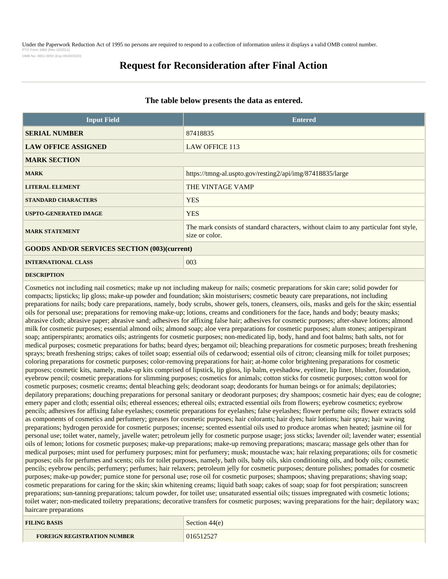Under the Paperwork Reduction Act of 1995 no persons are required to respond to a collection of information unless it displays a valid OMB control number. PTO Form 1960 (Rev 10/2011) OMB No. 0651-0050 (Exp 09/20/2020)

# **Request for Reconsideration after Final Action**

# **The table below presents the data as entered.**

| <b>Input Field</b>                                  | <b>Entered</b>                                                                                          |  |
|-----------------------------------------------------|---------------------------------------------------------------------------------------------------------|--|
| <b>SERIAL NUMBER</b>                                | 87418835                                                                                                |  |
| <b>LAW OFFICE ASSIGNED</b>                          | <b>LAW OFFICE 113</b>                                                                                   |  |
| <b>MARK SECTION</b>                                 |                                                                                                         |  |
| <b>MARK</b>                                         | https://tmng-al.uspto.gov/resting2/api/img/87418835/large                                               |  |
| <b>LITERAL ELEMENT</b>                              | THE VINTAGE VAMP                                                                                        |  |
| <b>STANDARD CHARACTERS</b>                          | <b>YES</b>                                                                                              |  |
| <b>USPTO-GENERATED IMAGE</b>                        | <b>YES</b>                                                                                              |  |
| <b>MARK STATEMENT</b>                               | The mark consists of standard characters, without claim to any particular font style,<br>size or color. |  |
| <b>GOODS AND/OR SERVICES SECTION (003)(current)</b> |                                                                                                         |  |
| <b>INTERNATIONAL CLASS</b>                          | 003                                                                                                     |  |

### **DESCRIPTION**

Cosmetics not including nail cosmetics; make up not including makeup for nails; cosmetic preparations for skin care; solid powder for compacts; lipsticks; lip gloss; make-up powder and foundation; skin moisturisers; cosmetic beauty care preparations, not including preparations for nails; body care preparations, namely, body scrubs, shower gels, toners, cleansers, oils, masks and gels for the skin; essential oils for personal use; preparations for removing make-up; lotions, creams and conditioners for the face, hands and body; beauty masks; abrasive cloth; abrasive paper; abrasive sand; adhesives for affixing false hair; adhesives for cosmetic purposes; after-shave lotions; almond milk for cosmetic purposes; essential almond oils; almond soap; aloe vera preparations for cosmetic purposes; alum stones; antiperspirant soap; antiperspirants; aromatics oils; astringents for cosmetic purposes; non-medicated lip, body, hand and foot balms; bath salts, not for medical purposes; cosmetic preparations for baths; beard dyes; bergamot oil; bleaching preparations for cosmetic purposes; breath freshening sprays; breath freshening strips; cakes of toilet soap; essential oils of cedarwood; essential oils of citron; cleansing milk for toilet purposes; coloring preparations for cosmetic purposes; color-removing preparations for hair; at-home color brightening preparations for cosmetic purposes; cosmetic kits, namely, make-up kits comprised of lipstick, lip gloss, lip balm, eyeshadow, eyeliner, lip liner, blusher, foundation, eyebrow pencil; cosmetic preparations for slimming purposes; cosmetics for animals; cotton sticks for cosmetic purposes; cotton wool for cosmetic purposes; cosmetic creams; dental bleaching gels; deodorant soap; deodorants for human beings or for animals; depilatories; depilatory preparations; douching preparations for personal sanitary or deodorant purposes; dry shampoos; cosmetic hair dyes; eau de cologne; emery paper and cloth; essential oils; ethereal essences; ethereal oils; extracted essential oils from flowers; eyebrow cosmetics; eyebrow pencils; adhesives for affixing false eyelashes; cosmetic preparations for eyelashes; false eyelashes; flower perfume oils; flower extracts sold as components of cosmetics and perfumery; greases for cosmetic purposes; hair colorants; hair dyes; hair lotions; hair spray; hair waving preparations; hydrogen peroxide for cosmetic purposes; incense; scented essential oils used to produce aromas when heated; jasmine oil for personal use; toilet water, namely, javelle water; petroleum jelly for cosmetic purpose usage; joss sticks; lavender oil; lavender water; essential oils of lemon; lotions for cosmetic purposes; make-up preparations; make-up removing preparations; mascara; massage gels other than for medical purposes; mint used for perfumery purposes; mint for perfumery; musk; moustache wax; hair relaxing preparations; oils for cosmetic purposes; oils for perfumes and scents; oils for toilet purposes, namely, bath oils, baby oils, skin conditioning oils, and body oils; cosmetic pencils; eyebrow pencils; perfumery; perfumes; hair relaxers; petroleum jelly for cosmetic purposes; denture polishes; pomades for cosmetic purposes; make-up powder; pumice stone for personal use; rose oil for cosmetic purposes; shampoos; shaving preparations; shaving soap; cosmetic preparations for caring for the skin; skin whitening creams; liquid bath soap; cakes of soap; soap for foot perspiration; sunscreen preparations; sun-tanning preparations; talcum powder, for toilet use; unsaturated essential oils; tissues impregnated with cosmetic lotions; toilet water; non-medicated toiletry preparations; decorative transfers for cosmetic purposes; waving preparations for the hair; depilatory wax; haircare preparations

| <b>FILING BASIS</b>                | Section $44(e)$ |
|------------------------------------|-----------------|
| <b>FOREIGN REGISTRATION NUMBER</b> | 016512527       |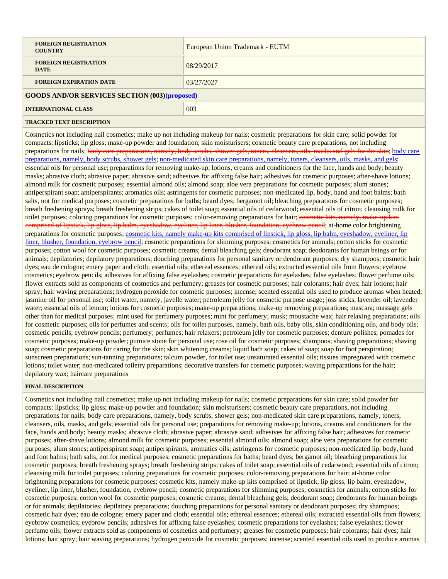| <b>FOREIGN REGISTRATION</b><br><b>COUNTRY</b>         | European Union Trademark - EUTM |
|-------------------------------------------------------|---------------------------------|
| <b>FOREIGN REGISTRATION</b><br><b>DATE</b>            | 08/29/2017                      |
| <b>FOREIGN EXPIRATION DATE</b>                        | 03/27/2027                      |
| <b>GOODS AND/OR SERVICES SECTION (003) (proposed)</b> |                                 |
| <b>INTERNATIONAL CLASS</b>                            | 003                             |
| TD A CIZED TEVT DECODIDTION                           |                                 |

**TRACKED TEXT DESCRIPTION**

Cosmetics not including nail cosmetics; make up not including makeup for nails; cosmetic preparations for skin care; solid powder for compacts; lipsticks; lip gloss; make-up powder and foundation; skin moisturisers; cosmetic beauty care preparations, not including preparations for nails; body care preparations, namely, body serubs, shower gels, toners, cleansers, oils, masks and gels for the skin; body care preparations, namely, body scrubs, shower gels; non-medicated skin care preparations, namely, toners, cleansers, oils, masks, and gels; essential oils for personal use; preparations for removing make-up; lotions, creams and conditioners for the face, hands and body; beauty masks; abrasive cloth; abrasive paper; abrasive sand; adhesives for affixing false hair; adhesives for cosmetic purposes; after-shave lotions; almond milk for cosmetic purposes; essential almond oils; almond soap; aloe vera preparations for cosmetic purposes; alum stones; antiperspirant soap; antiperspirants; aromatics oils; astringents for cosmetic purposes; non-medicated lip, body, hand and foot balms; bath salts, not for medical purposes; cosmetic preparations for baths; beard dyes; bergamot oil; bleaching preparations for cosmetic purposes; breath freshening sprays; breath freshening strips; cakes of toilet soap; essential oils of cedarwood; essential oils of citron; cleansing milk for toilet purposes; coloring preparations for cosmetic purposes; color-removing preparations for hair; cosmetic kits, namely, make-up kits comprised of lipstick, lip gloss, lip balm, eyeshadow, eyeliner, lip liner, blusher, foundation, eyebrow pencil; at-home color brightening preparations for cosmetic purposes; cosmetic kits, namely make-up kits comprised of lipstick, lip gloss, lip balm, eyeshadow, eyeliner, lip liner, blusher, foundation, eyebrow pencil; cosmetic preparations for slimming purposes; cosmetics for animals; cotton sticks for cosmetic purposes; cotton wool for cosmetic purposes; cosmetic creams; dental bleaching gels; deodorant soap; deodorants for human beings or for animals; depilatories; depilatory preparations; douching preparations for personal sanitary or deodorant purposes; dry shampoos; cosmetic hair dyes; eau de cologne; emery paper and cloth; essential oils; ethereal essences; ethereal oils; extracted essential oils from flowers; eyebrow cosmetics; eyebrow pencils; adhesives for affixing false eyelashes; cosmetic preparations for eyelashes; false eyelashes; flower perfume oils; flower extracts sold as components of cosmetics and perfumery; greases for cosmetic purposes; hair colorants; hair dyes; hair lotions; hair spray; hair waving preparations; hydrogen peroxide for cosmetic purposes; incense; scented essential oils used to produce aromas when heated; jasmine oil for personal use; toilet water, namely, javelle water; petroleum jelly for cosmetic purpose usage; joss sticks; lavender oil; lavender water; essential oils of lemon; lotions for cosmetic purposes; make-up preparations; make-up removing preparations; mascara; massage gels other than for medical purposes; mint used for perfumery purposes; mint for perfumery; musk; moustache wax; hair relaxing preparations; oils for cosmetic purposes; oils for perfumes and scents; oils for toilet purposes, namely, bath oils, baby oils, skin conditioning oils, and body oils; cosmetic pencils; eyebrow pencils; perfumery; perfumes; hair relaxers; petroleum jelly for cosmetic purposes; denture polishes; pomades for cosmetic purposes; make-up powder; pumice stone for personal use; rose oil for cosmetic purposes; shampoos; shaving preparations; shaving soap; cosmetic preparations for caring for the skin; skin whitening creams; liquid bath soap; cakes of soap; soap for foot perspiration; sunscreen preparations; sun-tanning preparations; talcum powder, for toilet use; unsaturated essential oils; tissues impregnated with cosmetic lotions; toilet water; non-medicated toiletry preparations; decorative transfers for cosmetic purposes; waving preparations for the hair; depilatory wax; haircare preparations

# **FINAL DESCRIPTION**

Cosmetics not including nail cosmetics; make up not including makeup for nails; cosmetic preparations for skin care; solid powder for compacts; lipsticks; lip gloss; make-up powder and foundation; skin moisturisers; cosmetic beauty care preparations, not including preparations for nails; body care preparations, namely, body scrubs, shower gels; non-medicated skin care preparations, namely, toners, cleansers, oils, masks, and gels; essential oils for personal use; preparations for removing make-up; lotions, creams and conditioners for the face, hands and body; beauty masks; abrasive cloth; abrasive paper; abrasive sand; adhesives for affixing false hair; adhesives for cosmetic purposes; after-shave lotions; almond milk for cosmetic purposes; essential almond oils; almond soap; aloe vera preparations for cosmetic purposes; alum stones; antiperspirant soap; antiperspirants; aromatics oils; astringents for cosmetic purposes; non-medicated lip, body, hand and foot balms; bath salts, not for medical purposes; cosmetic preparations for baths; beard dyes; bergamot oil; bleaching preparations for cosmetic purposes; breath freshening sprays; breath freshening strips; cakes of toilet soap; essential oils of cedarwood; essential oils of citron; cleansing milk for toilet purposes; coloring preparations for cosmetic purposes; color-removing preparations for hair; at-home color brightening preparations for cosmetic purposes; cosmetic kits, namely make-up kits comprised of lipstick, lip gloss, lip balm, eyeshadow, eyeliner, lip liner, blusher, foundation, eyebrow pencil; cosmetic preparations for slimming purposes; cosmetics for animals; cotton sticks for cosmetic purposes; cotton wool for cosmetic purposes; cosmetic creams; dental bleaching gels; deodorant soap; deodorants for human beings or for animals; depilatories; depilatory preparations; douching preparations for personal sanitary or deodorant purposes; dry shampoos; cosmetic hair dyes; eau de cologne; emery paper and cloth; essential oils; ethereal essences; ethereal oils; extracted essential oils from flowers; eyebrow cosmetics; eyebrow pencils; adhesives for affixing false eyelashes; cosmetic preparations for eyelashes; false eyelashes; flower perfume oils; flower extracts sold as components of cosmetics and perfumery; greases for cosmetic purposes; hair colorants; hair dyes; hair lotions; hair spray; hair waving preparations; hydrogen peroxide for cosmetic purposes; incense; scented essential oils used to produce aromas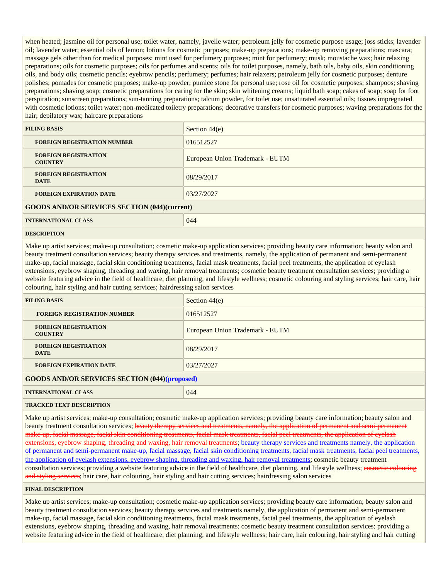when heated; jasmine oil for personal use; toilet water, namely, javelle water; petroleum jelly for cosmetic purpose usage; joss sticks; lavender oil; lavender water; essential oils of lemon; lotions for cosmetic purposes; make-up preparations; make-up removing preparations; mascara; massage gels other than for medical purposes; mint used for perfumery purposes; mint for perfumery; musk; moustache wax; hair relaxing preparations; oils for cosmetic purposes; oils for perfumes and scents; oils for toilet purposes, namely, bath oils, baby oils, skin conditioning oils, and body oils; cosmetic pencils; eyebrow pencils; perfumery; perfumes; hair relaxers; petroleum jelly for cosmetic purposes; denture polishes; pomades for cosmetic purposes; make-up powder; pumice stone for personal use; rose oil for cosmetic purposes; shampoos; shaving preparations; shaving soap; cosmetic preparations for caring for the skin; skin whitening creams; liquid bath soap; cakes of soap; soap for foot perspiration; sunscreen preparations; sun-tanning preparations; talcum powder, for toilet use; unsaturated essential oils; tissues impregnated with cosmetic lotions; toilet water; non-medicated toiletry preparations; decorative transfers for cosmetic purposes; waving preparations for the hair; depilatory wax; haircare preparations

| <b>FILING BASIS</b>                                 | Section $44(e)$                 |  |
|-----------------------------------------------------|---------------------------------|--|
| <b>FOREIGN REGISTRATION NUMBER</b>                  | 016512527                       |  |
| <b>FOREIGN REGISTRATION</b><br><b>COUNTRY</b>       | European Union Trademark - EUTM |  |
| <b>FOREIGN REGISTRATION</b><br><b>DATE</b>          | 08/29/2017                      |  |
| <b>FOREIGN EXPIRATION DATE</b>                      | 03/27/2027                      |  |
| <b>GOODS AND/OR SERVICES SECTION (044)(current)</b> |                                 |  |
| <b>INTERNATIONAL CLASS</b>                          | 044                             |  |
|                                                     |                                 |  |

### **DESCRIPTION**

Make up artist services; make-up consultation; cosmetic make-up application services; providing beauty care information; beauty salon and beauty treatment consultation services; beauty therapy services and treatments, namely, the application of permanent and semi-permanent make-up, facial massage, facial skin conditioning treatments, facial mask treatments, facial peel treatments, the application of eyelash extensions, eyebrow shaping, threading and waxing, hair removal treatments; cosmetic beauty treatment consultation services; providing a website featuring advice in the field of healthcare, diet planning, and lifestyle wellness; cosmetic colouring and styling services; hair care, hair colouring, hair styling and hair cutting services; hairdressing salon services

| <b>FILING BASIS</b>                                   | Section $44(e)$                 |
|-------------------------------------------------------|---------------------------------|
| <b>FOREIGN REGISTRATION NUMBER</b>                    | 016512527                       |
| <b>FOREIGN REGISTRATION</b><br><b>COUNTRY</b>         | European Union Trademark - EUTM |
| <b>FOREIGN REGISTRATION</b><br><b>DATE</b>            | 08/29/2017                      |
| <b>FOREIGN EXPIRATION DATE</b>                        | 03/27/2027                      |
| <b>GOODS AND/OR SERVICES SECTION (044) (proposed)</b> |                                 |
| <b>INTERNATIONAL CLASS</b>                            | 044                             |

#### **TRACKED TEXT DESCRIPTION**

Make up artist services; make-up consultation; cosmetic make-up application services; providing beauty care information; beauty salon and beauty treatment consultation services; beauty therapy services and treatments, namely, the application of permanent and semi-permanent make-up, facial massage, facial skin conditioning treatments, facial mask treatments, facial peel treatments, the application of eyelash extensions, eyebrow shaping, threading and waxing, hair removal treatments; beauty therapy services and treatments namely, the application of permanent and semi-permanent make-up, facial massage, facial skin conditioning treatments, facial mask treatments, facial peel treatments, the application of eyelash extensions, eyebrow shaping, threading and waxing, hair removal treatments; cosmetic beauty treatment consultation services; providing a website featuring advice in the field of healthcare, diet planning, and lifestyle wellness; cosmetic colouring and styling services; hair care, hair colouring, hair styling and hair cutting services; hairdressing salon services

### **FINAL DESCRIPTION**

Make up artist services; make-up consultation; cosmetic make-up application services; providing beauty care information; beauty salon and beauty treatment consultation services; beauty therapy services and treatments namely, the application of permanent and semi-permanent make-up, facial massage, facial skin conditioning treatments, facial mask treatments, facial peel treatments, the application of eyelash extensions, eyebrow shaping, threading and waxing, hair removal treatments; cosmetic beauty treatment consultation services; providing a website featuring advice in the field of healthcare, diet planning, and lifestyle wellness; hair care, hair colouring, hair styling and hair cutting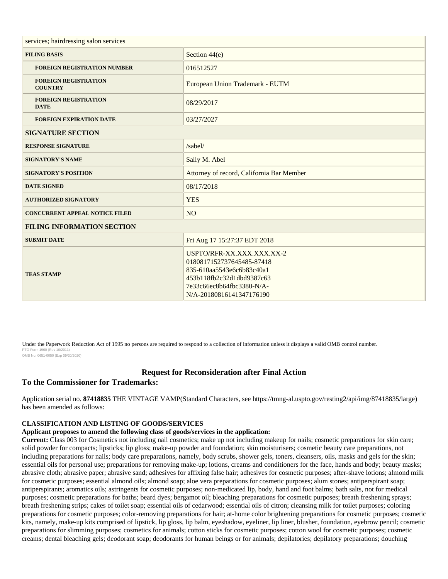| services; hairdressing salon services         |                                                                                                                                                                           |  |
|-----------------------------------------------|---------------------------------------------------------------------------------------------------------------------------------------------------------------------------|--|
| <b>FILING BASIS</b>                           | Section $44(e)$                                                                                                                                                           |  |
| <b>FOREIGN REGISTRATION NUMBER</b>            | 016512527                                                                                                                                                                 |  |
| <b>FOREIGN REGISTRATION</b><br><b>COUNTRY</b> | European Union Trademark - EUTM                                                                                                                                           |  |
| <b>FOREIGN REGISTRATION</b><br><b>DATE</b>    | 08/29/2017                                                                                                                                                                |  |
| <b>FOREIGN EXPIRATION DATE</b>                | 03/27/2027                                                                                                                                                                |  |
| <b>SIGNATURE SECTION</b>                      |                                                                                                                                                                           |  |
| <b>RESPONSE SIGNATURE</b>                     | /sabel/                                                                                                                                                                   |  |
| <b>SIGNATORY'S NAME</b>                       | Sally M. Abel                                                                                                                                                             |  |
| <b>SIGNATORY'S POSITION</b>                   | Attorney of record, California Bar Member                                                                                                                                 |  |
| <b>DATE SIGNED</b>                            | 08/17/2018                                                                                                                                                                |  |
| <b>AUTHORIZED SIGNATORY</b>                   | <b>YES</b>                                                                                                                                                                |  |
| <b>CONCURRENT APPEAL NOTICE FILED</b>         | NO <sub>1</sub>                                                                                                                                                           |  |
| <b>FILING INFORMATION SECTION</b>             |                                                                                                                                                                           |  |
| <b>SUBMIT DATE</b>                            | Fri Aug 17 15:27:37 EDT 2018                                                                                                                                              |  |
| <b>TEAS STAMP</b>                             | USPTO/RFR-XX.XXX.XXX.XX-2<br>0180817152737645485-87418<br>835-610aa5543e6c6b83c40a1<br>453b118fb2c32d1dbd9387c63<br>7e33c66ec8b64fbc3380-N/A-<br>N/A-20180816141347176190 |  |

Under the Paperwork Reduction Act of 1995 no persons are required to respond to a collection of information unless it displays a valid OMB control number. PTO Form 1960 (Rev 10/2011) OMB No. 0651-0050 (Exp 09/20/2020)

**Request for Reconsideration after Final Action**

# **To the Commissioner for Trademarks:**

Application serial no. **87418835** THE VINTAGE VAMP(Standard Characters, see https://tmng-al.uspto.gov/resting2/api/img/87418835/large) has been amended as follows:

# **CLASSIFICATION AND LISTING OF GOODS/SERVICES**

# **Applicant proposes to amend the following class of goods/services in the application:**

**Current:** Class 003 for Cosmetics not including nail cosmetics; make up not including makeup for nails; cosmetic preparations for skin care; solid powder for compacts; lipsticks; lip gloss; make-up powder and foundation; skin moisturisers; cosmetic beauty care preparations, not including preparations for nails; body care preparations, namely, body scrubs, shower gels, toners, cleansers, oils, masks and gels for the skin; essential oils for personal use; preparations for removing make-up; lotions, creams and conditioners for the face, hands and body; beauty masks; abrasive cloth; abrasive paper; abrasive sand; adhesives for affixing false hair; adhesives for cosmetic purposes; after-shave lotions; almond milk for cosmetic purposes; essential almond oils; almond soap; aloe vera preparations for cosmetic purposes; alum stones; antiperspirant soap; antiperspirants; aromatics oils; astringents for cosmetic purposes; non-medicated lip, body, hand and foot balms; bath salts, not for medical purposes; cosmetic preparations for baths; beard dyes; bergamot oil; bleaching preparations for cosmetic purposes; breath freshening sprays; breath freshening strips; cakes of toilet soap; essential oils of cedarwood; essential oils of citron; cleansing milk for toilet purposes; coloring preparations for cosmetic purposes; color-removing preparations for hair; at-home color brightening preparations for cosmetic purposes; cosmetic kits, namely, make-up kits comprised of lipstick, lip gloss, lip balm, eyeshadow, eyeliner, lip liner, blusher, foundation, eyebrow pencil; cosmetic preparations for slimming purposes; cosmetics for animals; cotton sticks for cosmetic purposes; cotton wool for cosmetic purposes; cosmetic creams; dental bleaching gels; deodorant soap; deodorants for human beings or for animals; depilatories; depilatory preparations; douching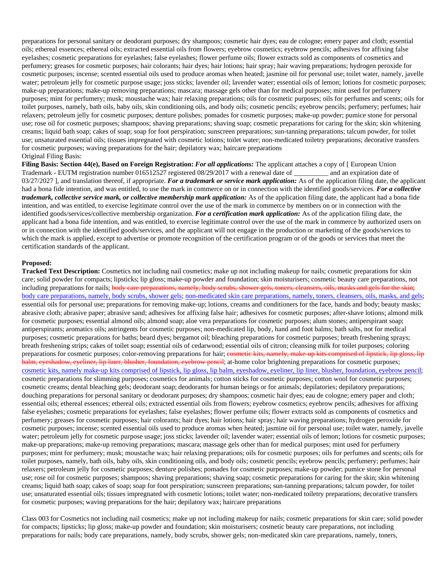preparations for personal sanitary or deodorant purposes; dry shampoos; cosmetic hair dyes; eau de cologne; emery paper and cloth; essential oils; ethereal essences; ethereal oils; extracted essential oils from flowers; eyebrow cosmetics; eyebrow pencils; adhesives for affixing false eyelashes; cosmetic preparations for eyelashes; false eyelashes; flower perfume oils; flower extracts sold as components of cosmetics and perfumery; greases for cosmetic purposes; hair colorants; hair dyes; hair lotions; hair spray; hair waving preparations; hydrogen peroxide for cosmetic purposes; incense; scented essential oils used to produce aromas when heated; jasmine oil for personal use; toilet water, namely, javelle water; petroleum jelly for cosmetic purpose usage; joss sticks; lavender oil; lavender water; essential oils of lemon; lotions for cosmetic purposes; make-up preparations; make-up removing preparations; mascara; massage gels other than for medical purposes; mint used for perfumery purposes; mint for perfumery; musk; moustache wax; hair relaxing preparations; oils for cosmetic purposes; oils for perfumes and scents; oils for toilet purposes, namely, bath oils, baby oils, skin conditioning oils, and body oils; cosmetic pencils; eyebrow pencils; perfumery; perfumes; hair relaxers; petroleum jelly for cosmetic purposes; denture polishes; pomades for cosmetic purposes; make-up powder; pumice stone for personal use; rose oil for cosmetic purposes; shampoos; shaving preparations; shaving soap; cosmetic preparations for caring for the skin; skin whitening creams; liquid bath soap; cakes of soap; soap for foot perspiration; sunscreen preparations; sun-tanning preparations; talcum powder, for toilet use; unsaturated essential oils; tissues impregnated with cosmetic lotions; toilet water; non-medicated toiletry preparations; decorative transfers for cosmetic purposes; waving preparations for the hair; depilatory wax; haircare preparations Original Filing Basis:

**Filing Basis: Section 44(e), Based on Foreign Registration:** *For all applications:* The applicant attaches a copy of [ European Union Trademark - EUTM registration number 016512527 registered 08/29/2017 with a renewal date of \_\_\_\_\_\_\_\_\_\_ and an expiration date of 03/27/2027 ], and translation thereof, if appropriate. *For a trademark or service mark application*: As of the application filing date, the applicant had a bona fide intention, and was entitled, to use the mark in commerce on or in connection with the identified goods/services. *For a collective trademark, collective service mark, or collective membership mark application:* As of the application filing date, the applicant had a bona fide intention, and was entitled, to exercise legitimate control over the use of the mark in commerce by members on or in connection with the identified goods/services/collective membership organization. *For a certification mark application:* As of the application filing date, the applicant had a bona fide intention, and was entitled, to exercise legitimate control over the use of the mark in commerce by authorized users on or in connection with the identified goods/services, and the applicant will not engage in the production or marketing of the goods/services to which the mark is applied, except to advertise or promote recognition of the certification program or of the goods or services that meet the certification standards of the applicant.

#### **Proposed:**

**Tracked Text Description:** Cosmetics not including nail cosmetics; make up not including makeup for nails; cosmetic preparations for skin care; solid powder for compacts; lipsticks; lip gloss; make-up powder and foundation; skin moisturisers; cosmetic beauty care preparations, not including preparations for nails; body care preparations, namely, body serubs, shower gels, toners, cleansers, oils, masks and gels for the skin; body care preparations, namely, body scrubs, shower gels; non-medicated skin care preparations, namely, toners, cleansers, oils, masks, and gels; essential oils for personal use; preparations for removing make-up; lotions, creams and conditioners for the face, hands and body; beauty masks; abrasive cloth; abrasive paper; abrasive sand; adhesives for affixing false hair; adhesives for cosmetic purposes; after-shave lotions; almond milk for cosmetic purposes; essential almond oils; almond soap; aloe vera preparations for cosmetic purposes; alum stones; antiperspirant soap; antiperspirants; aromatics oils; astringents for cosmetic purposes; non-medicated lip, body, hand and foot balms; bath salts, not for medical purposes; cosmetic preparations for baths; beard dyes; bergamot oil; bleaching preparations for cosmetic purposes; breath freshening sprays; breath freshening strips; cakes of toilet soap; essential oils of cedarwood; essential oils of citron; cleansing milk for toilet purposes; coloring preparations for cosmetic purposes; color-removing preparations for hair; cosmetic kits, namely, make-up kits comprised of lipstick, lip gloss, lip balm, eyeshadow, eyeliner, lip liner, blusher, foundation, eyebrow pencil; at-home color brightening preparations for cosmetic purposes; cosmetic kits, namely make-up kits comprised of lipstick, lip gloss, lip balm, eyeshadow, eyeliner, lip liner, blusher, foundation, eyebrow pencil; cosmetic preparations for slimming purposes; cosmetics for animals; cotton sticks for cosmetic purposes; cotton wool for cosmetic purposes; cosmetic creams; dental bleaching gels; deodorant soap; deodorants for human beings or for animals; depilatories; depilatory preparations; douching preparations for personal sanitary or deodorant purposes; dry shampoos; cosmetic hair dyes; eau de cologne; emery paper and cloth; essential oils; ethereal essences; ethereal oils; extracted essential oils from flowers; eyebrow cosmetics; eyebrow pencils; adhesives for affixing false eyelashes; cosmetic preparations for eyelashes; false eyelashes; flower perfume oils; flower extracts sold as components of cosmetics and perfumery; greases for cosmetic purposes; hair colorants; hair dyes; hair lotions; hair spray; hair waving preparations; hydrogen peroxide for cosmetic purposes; incense; scented essential oils used to produce aromas when heated; jasmine oil for personal use; toilet water, namely, javelle water; petroleum jelly for cosmetic purpose usage; joss sticks; lavender oil; lavender water; essential oils of lemon; lotions for cosmetic purposes; make-up preparations; make-up removing preparations; mascara; massage gels other than for medical purposes; mint used for perfumery purposes; mint for perfumery; musk; moustache wax; hair relaxing preparations; oils for cosmetic purposes; oils for perfumes and scents; oils for toilet purposes, namely, bath oils, baby oils, skin conditioning oils, and body oils; cosmetic pencils; eyebrow pencils; perfumery; perfumes; hair relaxers; petroleum jelly for cosmetic purposes; denture polishes; pomades for cosmetic purposes; make-up powder; pumice stone for personal use; rose oil for cosmetic purposes; shampoos; shaving preparations; shaving soap; cosmetic preparations for caring for the skin; skin whitening creams; liquid bath soap; cakes of soap; soap for foot perspiration; sunscreen preparations; sun-tanning preparations; talcum powder, for toilet use; unsaturated essential oils; tissues impregnated with cosmetic lotions; toilet water; non-medicated toiletry preparations; decorative transfers for cosmetic purposes; waving preparations for the hair; depilatory wax; haircare preparations

Class 003 for Cosmetics not including nail cosmetics; make up not including makeup for nails; cosmetic preparations for skin care; solid powder for compacts; lipsticks; lip gloss; make-up powder and foundation; skin moisturisers; cosmetic beauty care preparations, not including preparations for nails; body care preparations, namely, body scrubs, shower gels; non-medicated skin care preparations, namely, toners,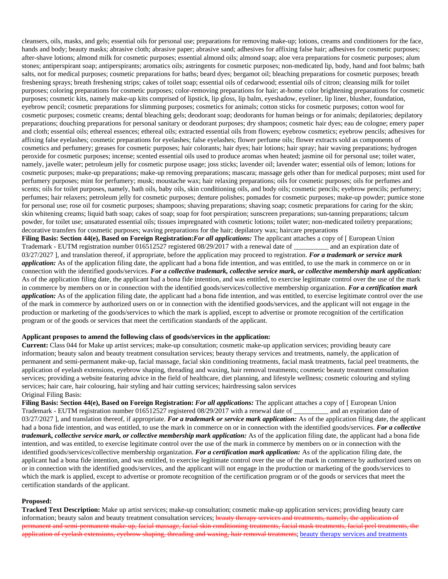cleansers, oils, masks, and gels; essential oils for personal use; preparations for removing make-up; lotions, creams and conditioners for the face, hands and body; beauty masks; abrasive cloth; abrasive paper; abrasive sand; adhesives for affixing false hair; adhesives for cosmetic purposes; after-shave lotions; almond milk for cosmetic purposes; essential almond oils; almond soap; aloe vera preparations for cosmetic purposes; alum stones; antiperspirant soap; antiperspirants; aromatics oils; astringents for cosmetic purposes; non-medicated lip, body, hand and foot balms; bath salts, not for medical purposes; cosmetic preparations for baths; beard dyes; bergamot oil; bleaching preparations for cosmetic purposes; breath freshening sprays; breath freshening strips; cakes of toilet soap; essential oils of cedarwood; essential oils of citron; cleansing milk for toilet purposes; coloring preparations for cosmetic purposes; color-removing preparations for hair; at-home color brightening preparations for cosmetic purposes; cosmetic kits, namely make-up kits comprised of lipstick, lip gloss, lip balm, eyeshadow, eyeliner, lip liner, blusher, foundation, eyebrow pencil; cosmetic preparations for slimming purposes; cosmetics for animals; cotton sticks for cosmetic purposes; cotton wool for cosmetic purposes; cosmetic creams; dental bleaching gels; deodorant soap; deodorants for human beings or for animals; depilatories; depilatory preparations; douching preparations for personal sanitary or deodorant purposes; dry shampoos; cosmetic hair dyes; eau de cologne; emery paper and cloth; essential oils; ethereal essences; ethereal oils; extracted essential oils from flowers; eyebrow cosmetics; eyebrow pencils; adhesives for affixing false eyelashes; cosmetic preparations for eyelashes; false eyelashes; flower perfume oils; flower extracts sold as components of cosmetics and perfumery; greases for cosmetic purposes; hair colorants; hair dyes; hair lotions; hair spray; hair waving preparations; hydrogen peroxide for cosmetic purposes; incense; scented essential oils used to produce aromas when heated; jasmine oil for personal use; toilet water, namely, javelle water; petroleum jelly for cosmetic purpose usage; joss sticks; lavender oil; lavender water; essential oils of lemon; lotions for cosmetic purposes; make-up preparations; make-up removing preparations; mascara; massage gels other than for medical purposes; mint used for perfumery purposes; mint for perfumery; musk; moustache wax; hair relaxing preparations; oils for cosmetic purposes; oils for perfumes and scents; oils for toilet purposes, namely, bath oils, baby oils, skin conditioning oils, and body oils; cosmetic pencils; eyebrow pencils; perfumery; perfumes; hair relaxers; petroleum jelly for cosmetic purposes; denture polishes; pomades for cosmetic purposes; make-up powder; pumice stone for personal use; rose oil for cosmetic purposes; shampoos; shaving preparations; shaving soap; cosmetic preparations for caring for the skin; skin whitening creams; liquid bath soap; cakes of soap; soap for foot perspiration; sunscreen preparations; sun-tanning preparations; talcum powder, for toilet use; unsaturated essential oils; tissues impregnated with cosmetic lotions; toilet water; non-medicated toiletry preparations; decorative transfers for cosmetic purposes; waving preparations for the hair; depilatory wax; haircare preparations **Filing Basis: Section 44(e), Based on Foreign Registration:***For all applications:* The applicant attaches a copy of [ European Union Trademark - EUTM registration number 016512527 registered 08/29/2017 with a renewal date of and an expiration date of

03/27/2027 ], and translation thereof, if appropriate, before the application may proceed to registration. *For a trademark or service mark application:* As of the application filing date, the applicant had a bona fide intention, and was entitled, to use the mark in commerce on or in connection with the identified goods/services. *For a collective trademark, collective service mark, or collective membership mark application:* As of the application filing date, the applicant had a bona fide intention, and was entitled, to exercise legitimate control over the use of the mark in commerce by members on or in connection with the identified goods/services/collective membership organization. *For a certification mark application*: As of the application filing date, the applicant had a bona fide intention, and was entitled, to exercise legitimate control over the use of the mark in commerce by authorized users on or in connection with the identified goods/services, and the applicant will not engage in the production or marketing of the goods/services to which the mark is applied, except to advertise or promote recognition of the certification program or of the goods or services that meet the certification standards of the applicant.

# **Applicant proposes to amend the following class of goods/services in the application:**

**Current:** Class 044 for Make up artist services; make-up consultation; cosmetic make-up application services; providing beauty care information; beauty salon and beauty treatment consultation services; beauty therapy services and treatments, namely, the application of permanent and semi-permanent make-up, facial massage, facial skin conditioning treatments, facial mask treatments, facial peel treatments, the application of eyelash extensions, eyebrow shaping, threading and waxing, hair removal treatments; cosmetic beauty treatment consultation services; providing a website featuring advice in the field of healthcare, diet planning, and lifestyle wellness; cosmetic colouring and styling services; hair care, hair colouring, hair styling and hair cutting services; hairdressing salon services Original Filing Basis:

**Filing Basis: Section 44(e), Based on Foreign Registration:** *For all applications:* The applicant attaches a copy of [ European Union Trademark - EUTM registration number 016512527 registered 08/29/2017 with a renewal date of \_\_\_\_\_\_\_\_\_\_ and an expiration date of 03/27/2027 ], and translation thereof, if appropriate. *For a trademark or service mark application*: As of the application filing date, the applicant had a bona fide intention, and was entitled, to use the mark in commerce on or in connection with the identified goods/services. *For a collective trademark, collective service mark, or collective membership mark application:* As of the application filing date, the applicant had a bona fide intention, and was entitled, to exercise legitimate control over the use of the mark in commerce by members on or in connection with the identified goods/services/collective membership organization. *For a certification mark application:* As of the application filing date, the applicant had a bona fide intention, and was entitled, to exercise legitimate control over the use of the mark in commerce by authorized users on or in connection with the identified goods/services, and the applicant will not engage in the production or marketing of the goods/services to which the mark is applied, except to advertise or promote recognition of the certification program or of the goods or services that meet the certification standards of the applicant.

# **Proposed:**

**Tracked Text Description:** Make up artist services; make-up consultation; cosmetic make-up application services; providing beauty care information; beauty salon and beauty treatment consultation services; beauty therapy services and treatments, namely, the application of permanent and semi-permanent make-up, facial massage, facial skin conditioning treatments, facial mask treatments, facial peel treatments, the application of eyelash extensions, eyebrow shaping, threading and waxing, hair removal treatments; beauty therapy services and treatments